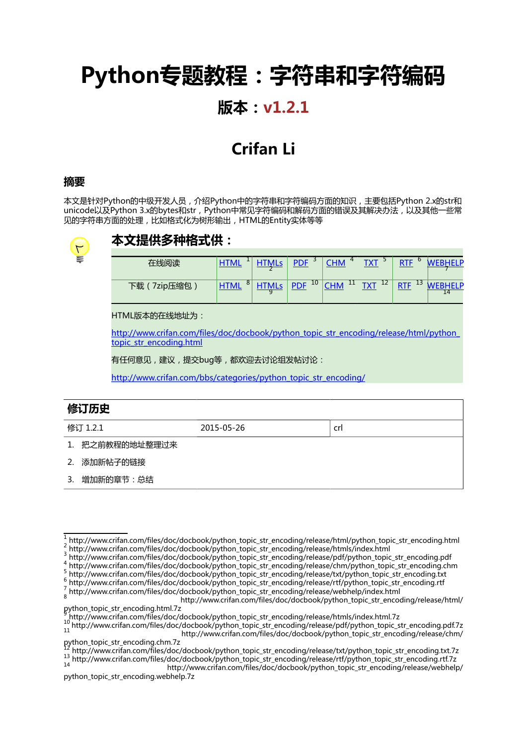# **Python专题教程:字符串和字符编码**

#### **版本:v1.2.1**

### **Crifan Li**

#### **摘要**

本文是针对Python的中级开发人员,介绍Python中的字符串和字符编码方面的知识,主要包括Python 2.x的str和 unicode以及Python 3.x的bytes和str,Python中常见字符编码和解码方面的错误及其解决办法,以及其他一些常 见的字符串方面的处理,比如格式化为树形输出,HTML的Entity实体等等



#### **本文提供多种格式供:**

| 仕続説座            | <b>HTMI</b>      | <b>PDF</b>          | <b>CHM</b>       | <b>TVT</b><br>◡                   | <b>RTF</b>       | EI P              |
|-----------------|------------------|---------------------|------------------|-----------------------------------|------------------|-------------------|
| 7zip压缩包<br>下载 、 | 8<br><b>HTML</b> | $PDF$ <sup>10</sup> | 11<br><b>CHM</b> | $TTT$ <sup>12</sup><br><u>IAI</u> | 13<br><b>RTF</b> | <b>IFID</b><br>14 |

HTML版本的在线地址为:

[http://www.crifan.com/files/doc/docbook/python\\_topic\\_str\\_encoding/release/html/python\\_](http://www.crifan.com/files/doc/docbook/python_topic_str_encoding/release/html/python_topic_str_encoding.html) topic str\_encoding.html

有任何意见,建议,提交bug等,都欢迎去讨论组发帖讨论:

[http://www.crifan.com/bbs/categories/python\\_topic\\_str\\_encoding/](http://www.crifan.com/bbs/categories/python_topic_str_encoding/)

| 修订历史     |                 |            |     |  |  |  |  |  |
|----------|-----------------|------------|-----|--|--|--|--|--|
| 修订 1.2.1 |                 | 2015-05-26 | crl |  |  |  |  |  |
|          | 1. 把之前教程的地址整理过来 |            |     |  |  |  |  |  |
| 2.       | 添加新帖子的链接        |            |     |  |  |  |  |  |
| 3.       | 增加新的章节:总结       |            |     |  |  |  |  |  |

- 4 4 [http://www.crifan.com/files/doc/docbook/python\\_topic\\_str\\_encoding/release/chm/python\\_topic\\_str\\_encoding.chm](http://www.crifan.com/files/doc/docbook/python_topic_str_encoding/release/chm/python_topic_str_encoding.chm)
- [http://www.crifan.com/files/doc/docbook/python\\_topic\\_str\\_encoding/release/txt/python\\_topic\\_str\\_encoding.txt](http://www.crifan.com/files/doc/docbook/python_topic_str_encoding/release/txt/python_topic_str_encoding.txt) 6
- [http://www.crifan.com/files/doc/docbook/python\\_topic\\_str\\_encoding/release/rtf/python\\_topic\\_str\\_encoding.rtf](http://www.crifan.com/files/doc/docbook/python_topic_str_encoding/release/rtf/python_topic_str_encoding.rtf) 7 [http://www.crifan.com/files/doc/docbook/python\\_topic\\_str\\_encoding/release/webhelp/index.html](http://www.crifan.com/files/doc/docbook/python_topic_str_encoding/release/webhelp/index.html)

<sup>1</sup> [http://www.crifan.com/files/doc/docbook/python\\_topic\\_str\\_encoding/release/html/python\\_topic\\_str\\_encoding.html](http://www.crifan.com/files/doc/docbook/python_topic_str_encoding/release/html/python_topic_str_encoding.html) 2 [http://www.crifan.com/files/doc/docbook/python\\_topic\\_str\\_encoding/release/htmls/index.html](http://www.crifan.com/files/doc/docbook/python_topic_str_encoding/release/htmls/index.html)

<sup>3</sup> [http://www.crifan.com/files/doc/docbook/python\\_topic\\_str\\_encoding/release/pdf/python\\_topic\\_str\\_encoding.pdf](http://www.crifan.com/files/doc/docbook/python_topic_str_encoding/release/pdf/python_topic_str_encoding.pdf)

<sup>8</sup> [http://www.crifan.com/files/doc/docbook/python\\_topic\\_str\\_encoding/release/html/](http://www.crifan.com/files/doc/docbook/python_topic_str_encoding/release/html/python_topic_str_encoding.html.7z) [python\\_topic\\_str\\_encoding.html.7z](http://www.crifan.com/files/doc/docbook/python_topic_str_encoding/release/html/python_topic_str_encoding.html.7z)

<sup>9</sup> [http://www.crifan.com/files/doc/docbook/python\\_topic\\_str\\_encoding/release/htmls/index.html.7z](http://www.crifan.com/files/doc/docbook/python_topic_str_encoding/release/htmls/index.html.7z)<br>10 [http://www.crifan.com/files/doc/docbook/python\\_topic\\_str\\_encoding/release/pdf/python\\_topic\\_str\\_encoding.pdf.7z](http://www.crifan.com/files/doc/docbook/python_topic_str_encoding/release/pdf/python_topic_str_encoding.pdf.7z) [http://www.crifan.com/files/doc/docbook/python\\_topic\\_str\\_encoding/release/chm/](http://www.crifan.com/files/doc/docbook/python_topic_str_encoding/release/chm/python_topic_str_encoding.chm.7z) [python\\_topic\\_str\\_encoding.chm.7z](http://www.crifan.com/files/doc/docbook/python_topic_str_encoding/release/chm/python_topic_str_encoding.chm.7z)

<sup>12</sup> [http://www.crifan.com/files/doc/docbook/python\\_topic\\_str\\_encoding/release/txt/python\\_topic\\_str\\_encoding.txt.7z](http://www.crifan.com/files/doc/docbook/python_topic_str_encoding/release/txt/python_topic_str_encoding.txt.7z) <sup>13</sup> [http://www.crifan.com/files/doc/docbook/python\\_topic\\_str\\_encoding/release/rtf/python\\_topic\\_str\\_encoding.rtf.7z](http://www.crifan.com/files/doc/docbook/python_topic_str_encoding/release/rtf/python_topic_str_encoding.rtf.7z)

[http://www.crifan.com/files/doc/docbook/python\\_topic\\_str\\_encoding/release/webhelp/](http://www.crifan.com/files/doc/docbook/python_topic_str_encoding/release/webhelp/python_topic_str_encoding.webhelp.7z) [python\\_topic\\_str\\_encoding.webhelp.7z](http://www.crifan.com/files/doc/docbook/python_topic_str_encoding/release/webhelp/python_topic_str_encoding.webhelp.7z)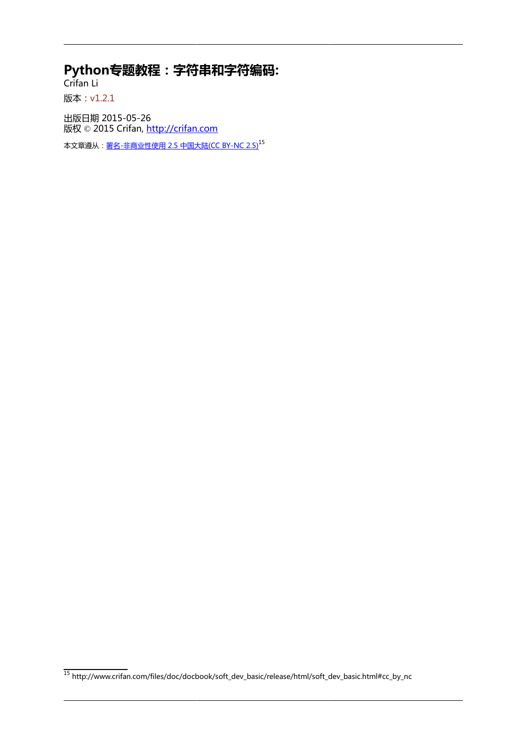**Python专题教程:字符串和字符编码:**

Crifan Li 版本:v1.2.1

出版日期 2015-05-26 版权 © 2015 Crifan, <http://crifan.com>

本文章遵从:<u>[署名-非商业性使用 2.5 中国大陆\(CC BY-NC 2.5\)](http://www.crifan.com/files/doc/docbook/soft_dev_basic/release/html/soft_dev_basic.html#cc_by_nc)</u><sup>15</sup>

<sup>15</sup> [http://www.crifan.com/files/doc/docbook/soft\\_dev\\_basic/release/html/soft\\_dev\\_basic.html#cc\\_by\\_nc](http://www.crifan.com/files/doc/docbook/soft_dev_basic/release/html/soft_dev_basic.html#cc_by_nc)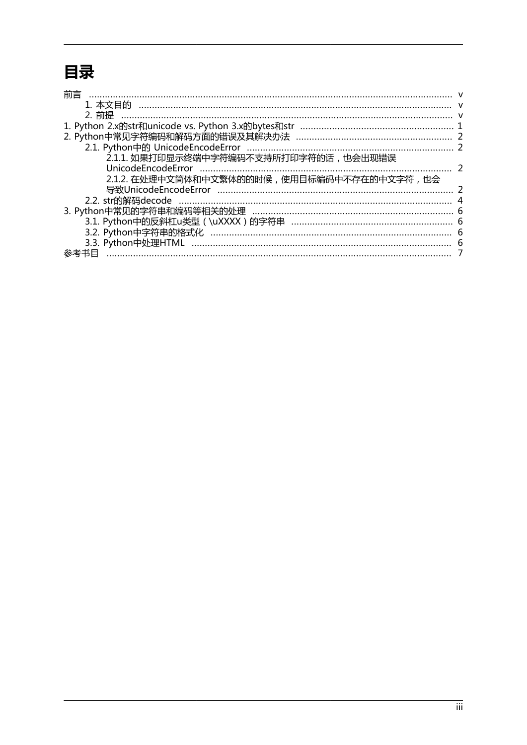### 目录

| 前言                                           |    |
|----------------------------------------------|----|
|                                              |    |
| 2. 前提                                        |    |
|                                              |    |
|                                              |    |
|                                              |    |
| 2.1.1. 如果打印显示终端中字符编码不支持所打印字符的话, 也会出现错误       |    |
| <b>UnicodeEncodeError</b>                    |    |
| 2.1.2. 在处理中文简体和中文繁体的的时候, 使用目标编码中不存在的中文字符, 也会 |    |
|                                              |    |
|                                              |    |
|                                              |    |
|                                              |    |
|                                              |    |
|                                              | -6 |
| 参考书目                                         |    |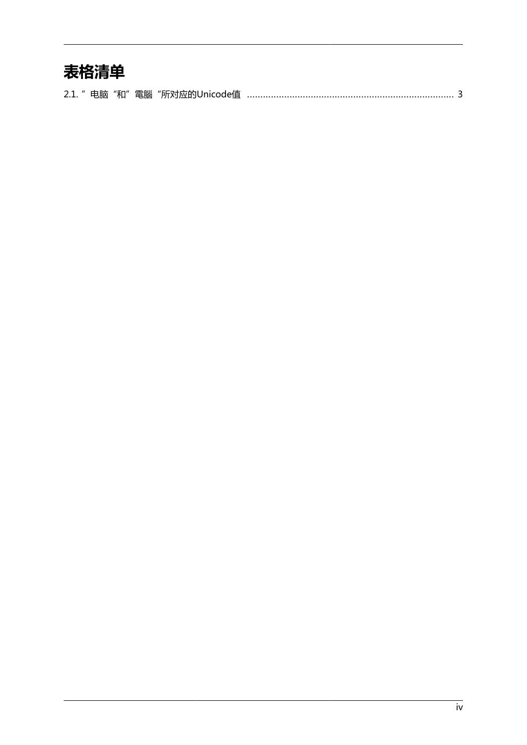### 表格清单

|--|--|--|--|--|--|--|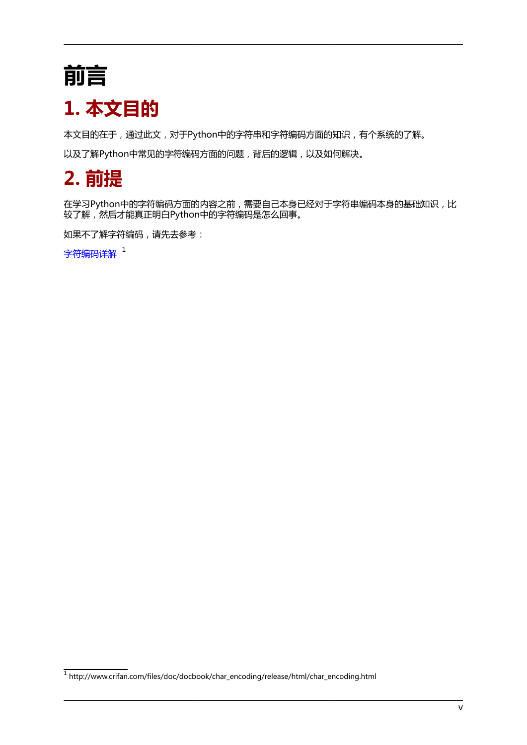# <span id="page-4-0"></span>**前言**

## <span id="page-4-1"></span>**1. 本文目的**

本文目的在于,通过此文,对于Python中的字符串和字符编码方面的知识,有个系统的了解。

以及了解Python中常见的字符编码方面的问题,背后的逻辑,以及如何解决。

## <span id="page-4-2"></span>**2. 前提**

在学习Python中的字符编码方面的内容之前,需要自己本身已经对于字符串编码本身的基础知识,比 较了解,然后才能真正明白Python中的字符编码是怎么回事。

如果不了解字符编码,请先去参考:

[字符编码详解](http://www.crifan.com/files/doc/docbook/char_encoding/release/html/char_encoding.html)<sup>1</sup>

<sup>&</sup>lt;sup>1</sup> [http://www.crifan.com/files/doc/docbook/char\\_encoding/release/html/char\\_encoding.html](http://www.crifan.com/files/doc/docbook/char_encoding/release/html/char_encoding.html)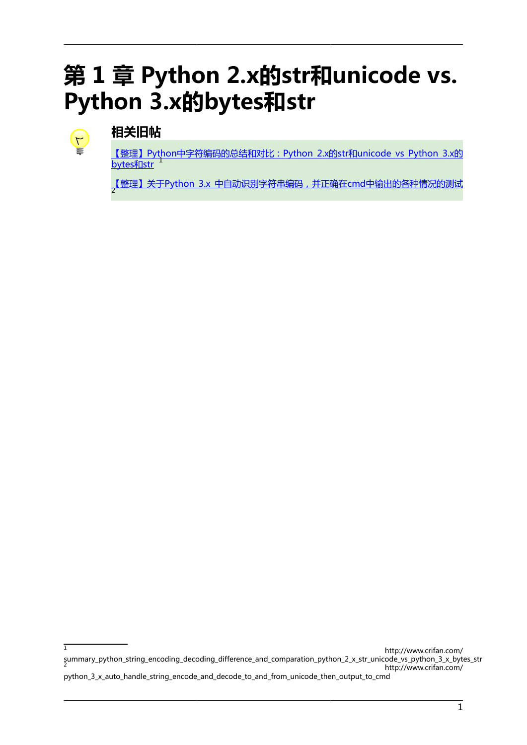# <span id="page-5-0"></span>第1章 Python 2.x的str和unicode vs. **Python 3.x的bytes和str**



#### **相关旧帖**

【整理】Python中字符编码的总结和对比: Python 2.x的str和unicode vs Python 3.x的 **[bytes和str](http://www.crifan.com/summary_python_string_encoding_decoding_difference_and_comparation_python_2_x_str_unicode_vs_python_3_x_bytes_str)** 

<sub>,</sub>[【整理】关于Python 3.x 中自动识别字符串编码,并正确在cmd中输出的各种情况的测试](http://www.crifan.com/python_3_x_auto_handle_string_encode_and_decode_to_and_from_unicode_then_output_to_cmd)

 $\overline{1}$ [http://www.crifan.com/](http://www.crifan.com/summary_python_string_encoding_decoding_difference_and_comparation_python_2_x_str_unicode_vs_python_3_x_bytes_str) [summary\\_python\\_string\\_encoding\\_decoding\\_difference\\_and\\_comparation\\_python\\_2\\_x\\_str\\_unicode\\_vs\\_python\\_3\\_x\\_bytes\\_str](http://www.crifan.com/summary_python_string_encoding_decoding_difference_and_comparation_python_2_x_str_unicode_vs_python_3_x_bytes_str) 2 [http://www.crifan.com/](http://www.crifan.com/python_3_x_auto_handle_string_encode_and_decode_to_and_from_unicode_then_output_to_cmd) [python\\_3\\_x\\_auto\\_handle\\_string\\_encode\\_and\\_decode\\_to\\_and\\_from\\_unicode\\_then\\_output\\_to\\_cmd](http://www.crifan.com/python_3_x_auto_handle_string_encode_and_decode_to_and_from_unicode_then_output_to_cmd)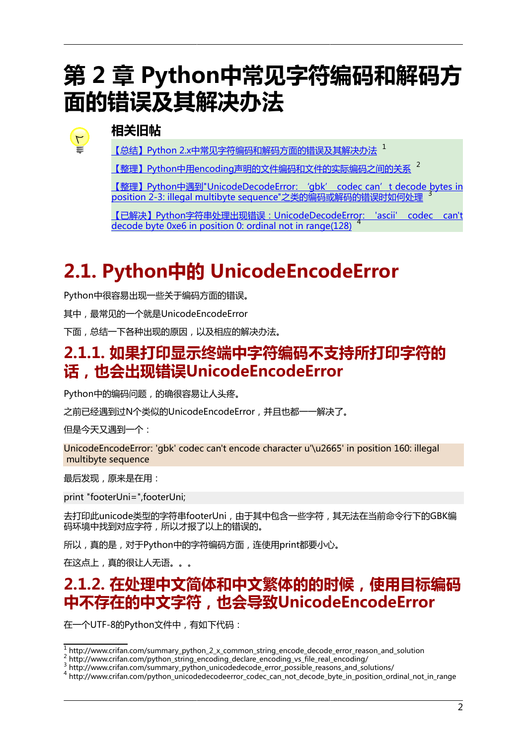# <span id="page-6-0"></span>**第 2 章 Python中常见字符编码和解码方 面的错误及其解决办法**



#### **相关旧帖**

[【总结】Python 2.x中常见字符编码和解码方面的错误及其解决办法](http://www.crifan.com/summary_python_2_x_common_string_encode_decode_error_reason_and_solution) 1

[【整理】Python中用encoding声明的文件编码和文件的实际编码之间的关系](http://www.crifan.com/python_string_encoding_declare_encoding_vs_file_real_encoding/) 2

[【整理】Python中遇到"UnicodeDecodeError: 'gbk' codec can't decode bytes in](http://www.crifan.com/summary_python_unicodedecode_error_possible_reasons_and_solutions/) [position 2-3: illegal multibyte sequence"之类的编码或解码的错误时如何处理](http://www.crifan.com/summary_python_unicodedecode_error_possible_reasons_and_solutions/)

[【已解决】Python字符串处理出现错误:UnicodeDecodeError: 'ascii' codec can't](http://www.crifan.com/python_unicodedecodeerror_codec_can_not_decode_byte_in_position_ordinal_not_in_range) [decode byte 0xe6 in position 0: ordinal not in range\(128\)](http://www.crifan.com/python_unicodedecodeerror_codec_can_not_decode_byte_in_position_ordinal_not_in_range) <sup>4</sup>

### <span id="page-6-1"></span>**2.1. Python中的 UnicodeEncodeError**

Python中很容易出现一些关于编码方面的错误。

其中,最常见的一个就是UnicodeEncodeError

下面,总结一下各种出现的原因,以及相应的解决办法。

### <span id="page-6-2"></span>**2.1.1. 如果打印显示终端中字符编码不支持所打印字符的 话,也会出现错误UnicodeEncodeError**

Python中的编码问题,的确很容易让人头疼。

之前已经遇到过N个类似的UnicodeEncodeError,并且也都一一解决了。

但是今天又遇到一个:

UnicodeEncodeError: 'gbk' codec can't encode character u'\u2665' in position 160: illegal multibyte sequence

最后发现,原来是在用:

print "footerUni=",footerUni;

去打印此unicode类型的字符串footerUni,由于其中包含一些字符,其无法在当前命令行下的GBK编 码环境中找到对应字符,所以才报了以上的错误的。

所以,真的是,对于Python中的字符编码方面,连使用print都要小心。

在这点上,真的很让人无语。。。

### <span id="page-6-3"></span>**2.1.2. 在处理中文简体和中文繁体的的时候,使用目标编码 中不存在的中文字符,也会导致UnicodeEncodeError**

在一个UTF-8的Python文件中,有如下代码:

<sup>1</sup> [http://www.crifan.com/summary\\_python\\_2\\_x\\_common\\_string\\_encode\\_decode\\_error\\_reason\\_and\\_solution](http://www.crifan.com/summary_python_2_x_common_string_encode_decode_error_reason_and_solution)

<sup>2</sup> [http://www.crifan.com/python\\_string\\_encoding\\_declare\\_encoding\\_vs\\_file\\_real\\_encoding/](http://www.crifan.com/python_string_encoding_declare_encoding_vs_file_real_encoding/)

<sup>&</sup>lt;sup>3</sup> [http://www.crifan.com/summary\\_python\\_unicodedecode\\_error\\_possible\\_reasons\\_and\\_solutions/](http://www.crifan.com/summary_python_unicodedecode_error_possible_reasons_and_solutions/)

A [http://www.crifan.com/python\\_unicodedecodeerror\\_codec\\_can\\_not\\_decode\\_byte\\_in\\_position\\_ordinal\\_not\\_in\\_range](http://www.crifan.com/python_unicodedecodeerror_codec_can_not_decode_byte_in_position_ordinal_not_in_range)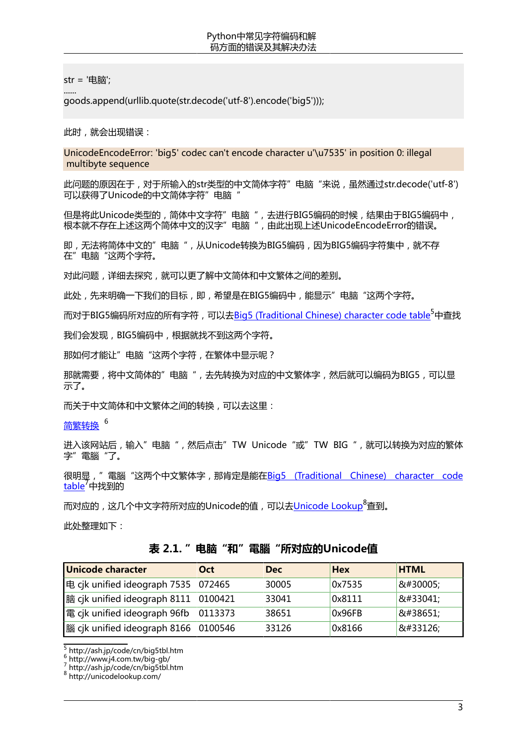str = '电脑';

......

goods.append(urllib.quote(str.decode('utf-8').encode('big5')));

此时,就会出现错误:

UnicodeEncodeError: 'big5' codec can't encode character u'\u7535' in position 0: illegal multibyte sequence

此问题的原因在于,对于所输入的str类型的中文简体字符"电脑"来说,虽然通过str.decode('utf-8') 可以获得了Unicode的中文简体字符"电脑

但是将此Unicode类型的,简体中文字符"电脑 ",去进行BIG5编码的时候,结果由于BIG5编码中, 根本就不存在上述这两个简体中文的汉字"电脑",由此出现上述UnicodeEncodeError的错误。

即,无法将简体中文的"电脑",从Unicode转换为BIG5编码,因为BIG5编码字符集中,就不存 在"电脑"这两个字符。

对此问题,详细去探究,就可以更了解中文简体和中文繁体之间的差别。

此处,先来明确一下我们的目标,即,希望是在BIG5编码中,能显示"电脑"这两个字符。

而对于BIG5编码所对应的所有字符,可以[去Big5 \(Traditional Chinese\) character code table](http://ash.jp/code/cn/big5tbl.htm)<sup>5</sup>中查找

我们会发现,BIG5编码中,根据就找不到这两个字符。

那如何才能让"电脑"这两个字符,在繁体中显示呢?

那就需要,将中文简体的"电脑",去先转换为对应的中文繁体字,然后就可以编码为BIG5,可以显 示了。

而关于中文简体和中文繁体之间的转换,可以去这里:

[简繁转换](http://www.j4.com.tw/big-gb/) 6

进入该网站后,输入"电脑",然后点击"TW Unicode"或"TW BIG",就可以转换为对应的繁体 字"電腦"了。

很明显, "電腦 "这两个中文繁体字, 那肯定是能在[Big5 \(Traditional Chinese\) character code](http://ash.jp/code/cn/big5tbl.htm) [table](http://ash.jp/code/cn/big5tbl.htm)<sup>/</sup>中找到的

而对应的,这几个中文字符所对应的Unicode的值,可以去[Unicode Lookup](http://unicodelookup.com/)<sup>8</sup>查到。

<span id="page-7-0"></span>此处整理如下:

#### **表 2.1. "电脑"和"電腦"所对应的Unicode值**

| <b>Unicode character</b>             | Oct              | <b>Dec</b> | <b>Hex</b> | <b>HTML</b> |
|--------------------------------------|------------------|------------|------------|-------------|
| 电 cjk unified ideograph 7535         | $ 072465\rangle$ | 30005      | 0x7535     | 电           |
| 脑 cjk unified ideograph 8111 0100421 |                  | 33041      | 0x8111     | 脑           |
| 電 cjk unified ideograph 96fb         | 0113373          | 38651      | 0x96FB     | 電           |
| 腦 cjk unified ideograph 8166         | 0100546          | 33126      | 0x8166     | 腦           |

<sup>5</sup> <http://ash.jp/code/cn/big5tbl.htm><br><sub>-</sub> <http://www.j4.com.tw/big-gb/>

 $\frac{7}{8}$  <http://ash.jp/code/cn/big5tbl.htm>

<http://unicodelookup.com/>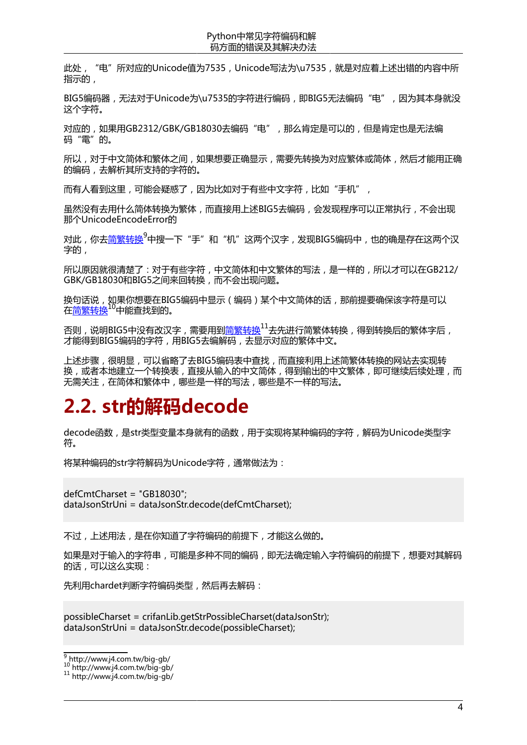此处,"电"所对应的Unicode值为7535, Unicode写法为\u7535, 就是对应着上述出错的内容中所 指示的,

BIG5编码器,无法对于Unicode为\u7535的字符讲行编码,即BIG5无法编码"电",因为其本身就没 这个字符。

对应的,如果用GB2312/GBK/GB18030去编码"电", 那么肯定是可以的, 但是肯定也是无法编 码"電"的。

所以,对于中文简体和繁体之间,如果想要正确显示,需要先转换为对应繁体或简体,然后才能用正确 的编码,去解析其所支持的字符的。

而有人看到这里,可能会疑惑了,因为比如对于有些中文字符,比如"手机",

虽然没有去用什么简体转换为繁体,而直接用上述BIG5去编码,会发现程序可以正常执行,不会出现 那个UnicodeEncodeError的

对此,你去[简繁转换](http://www.j4.com.tw/big-gb/)<sup>9</sup>中搜一下"手"和"机"这两个汉字,发现BIG5编码中,也的确是存在这两个汉 字的,

所以原因就很清楚了:对于有些字符,中文简体和中文繁体的写法,是一样的,所以才可以在GB212/ GBK/GB18030和BIG5之间来回转换,而不会出现问题。

换句话说,如果你想要在BIG5编码中显示(编码)某个中文简体的话,那前提要确保该字符是可以 在[简繁转换](http://www.j4.com.tw/big-gb/)10中能查找到的。

否则, 说明BIG5中没有改汉字, 需要用到<u>简繁转换<sup>11</sup>去先进</u>行简繁体转换, 得到转换后的繁体字后, 才能得到BIG5编码的字符,用BIG5去编解码,去显示对应的繁体中文。

上述步骤,很明显,可以省略了去BIG5编码表中查找,而直接利用上述简繁体转换的网站去实现转 换,或者本地建立一个转换表,直接从输入的中文简体,得到输出的中文繁体,即可继续后续处理,而 无需关注,在简体和繁体中,哪些是一样的写法,哪些是不一样的写法。

### <span id="page-8-0"></span>**2.2. str的解码decode**

decode函数,是str类型变量本身就有的函数,用于实现将某种编码的字符,解码为Unicode类型字 符。

将某种编码的str字符解码为Unicode字符,通常做法为:

defCmtCharset = "GB18030"; dataJsonStrUni = dataJsonStr.decode(defCmtCharset);

不过,上述用法,是在你知道了字符编码的前提下,才能这么做的。

如果是对于输入的字符串,可能是多种不同的编码,即无法确定输入字符编码的前提下,想要对其解码 的话,可以这么实现:

先利用chardet判断字符编码类型,然后再去解码:

possibleCharset = crifanLib.getStrPossibleCharset(dataJsonStr); dataJsonStrUni = dataJsonStr.decode(possibleCharset);

<sup>&</sup>lt;sup>9</sup> <http://www.j4.com.tw/big-gb/><br><sup>10</sup> http://www.j4.com.tw/big-gb/

<sup>11</sup> <http://www.j4.com.tw/big-gb/>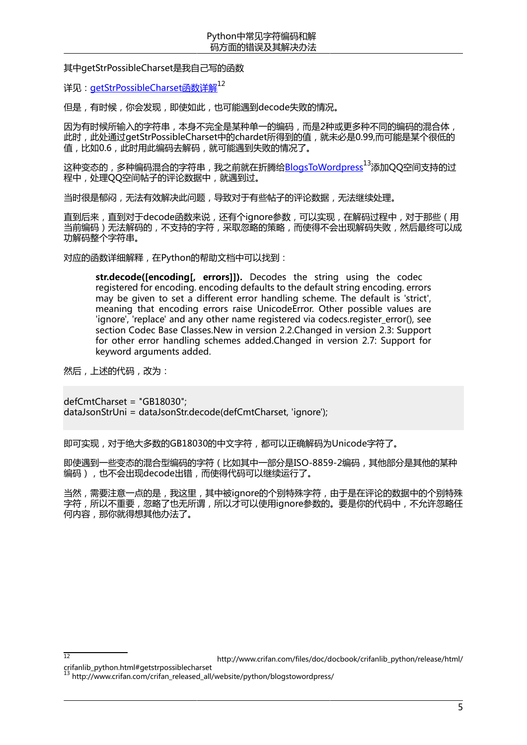#### 其中getStrPossibleCharset是我自己写的函数

详见: [getStrPossibleCharset函数详解](http://www.crifan.com/files/doc/docbook/crifanlib_python/release/html/crifanlib_python.html#getstrpossiblecharset)12

但是,有时候,你会发现,即使如此,也可能遇到decode失败的情况。

因为有时候所输入的字符串,本身不完全是某种单一的编码,而是2种或更多种不同的编码的混合体, 此时,此处通过getStrPossibleCharset中的chardet所得到的值,就未必是0.99,而可能是某个很低的 值,比如0.6,此时用此编码去解码,就可能遇到失败的情况了。

这种变态的,多种编码混合的字符串,我之前就在折腾给[BlogsToWordpress](http://www.crifan.com/crifan_released_all/website/python/blogstowordpress/)<sup>13</sup>添加QQ空间支持的过 程中,处理QQ空间帖子的评论数据中,就遇到过。

当时很是郁闷,无法有效解决此问题,导致对于有些帖子的评论数据,无法继续处理。

直到后来,直到对于decode函数来说,还有个ignore参数,可以实现,在解码过程中,对于那些(用 当前编码)无法解码的,不支持的字符,采取忽略的策略,而使得不会出现解码失败,然后最终可以成 功解码整个字符串。

对应的函数详细解释,在Python的帮助文档中可以找到:

**str.decode([encoding[, errors]]).** Decodes the string using the codec registered for encoding. encoding defaults to the default string encoding. errors may be given to set a different error handling scheme. The default is 'strict', meaning that encoding errors raise UnicodeError. Other possible values are 'ignore', 'replace' and any other name registered via codecs.register\_error(), see section Codec Base Classes.New in version 2.2.Changed in version 2.3: Support for other error handling schemes added.Changed in version 2.7: Support for keyword arguments added.

然后,上述的代码,改为:

defCmtCharset = "GB18030"; dataJsonStrUni = dataJsonStr.decode(defCmtCharset, 'ignore');

即可实现,对于绝大多数的GB18030的中文字符,都可以正确解码为Unicode字符了。

即使遇到一些变态的混合型编码的字符(比如其中一部分是ISO-8859-2编码,其他部分是其他的某种 编码),也不会出现decode出错,而使得代码可以继续运行了。

当然,需要注意一点的是,我这里,其中被ignore的个别特殊字符,由于是在评论的数据中的个别特殊 字符,所以不重要,忽略了也无所谓,所以才可以使用ignore参数的。要是你的代码中,不允许忽略任 何内容,那你就得想其他办法了。

[crifanlib\\_python.html#getstrpossiblecharset](http://www.crifan.com/files/doc/docbook/crifanlib_python/release/html/crifanlib_python.html#getstrpossiblecharset)

<sup>12</sup> **12** [http://www.crifan.com/files/doc/docbook/crifanlib\\_python/release/html/](http://www.crifan.com/files/doc/docbook/crifanlib_python/release/html/crifanlib_python.html#getstrpossiblecharset)

 $13$  [http://www.crifan.com/crifan\\_released\\_all/website/python/blogstowordpress/](http://www.crifan.com/crifan_released_all/website/python/blogstowordpress/)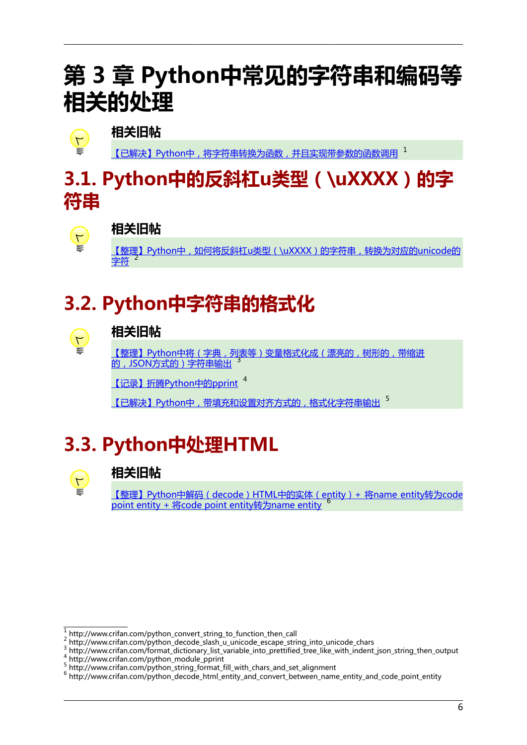# <span id="page-10-0"></span>**第 3 章 Python中常见的字符串和编码等 相关的处理**



#### **相关旧帖**

[【已解决】Python中,将字符串转换为函数,并且实现带参数的函数调用](http://www.crifan.com/python_convert_string_to_function_then_call) 1

### <span id="page-10-1"></span>**3.1. Python中的反斜杠u类型(\uXXXX)的字 符串**



#### **相关旧帖**

[【整理】Python中,如何将反斜杠u类型\(\uXXXX\)的字符串,转换为对应的unicode的](http://www.crifan.com/python_decode_slash_u_unicode_escape_string_into_unicode_chars) [字符](http://www.crifan.com/python_decode_slash_u_unicode_escape_string_into_unicode_chars) $^2$ 

# <span id="page-10-2"></span>**3.2. Python中字符串的格式化**



#### **相关旧帖**

[【整理】Python中将\(字典,列表等\)变量格式化成\(漂亮的,树形的,带缩进](http://www.crifan.com/format_dictionary_list_variable_into_prettified_tree_like_with_indent_json_string_then_output) [的,JSON方式的\)字符串输出](http://www.crifan.com/format_dictionary_list_variable_into_prettified_tree_like_with_indent_json_string_then_output) <sup>3</sup>

[【记录】折腾Python中的pprint](http://www.crifan.com/python_module_pprint) 4

[【已解决】Python中,带填充和设置对齐方式的,格式化字符串输出](http://www.crifan.com/python_string_format_fill_with_chars_and_set_alignment) 5

## <span id="page-10-3"></span>**3.3. Python中处理HTML**



#### **相关旧帖**

[【整理】Python中解码\(decode\)HTML中的实体\(entity\)+ 将name entity转为code](http://www.crifan.com/python_decode_html_entity_and_convert_between_name_entity_and_code_point_entity) [point entity + 将code point entity转为name entity](http://www.crifan.com/python_decode_html_entity_and_convert_between_name_entity_and_code_point_entity) <sup>6</sup>

<sup>1</sup> [http://www.crifan.com/python\\_convert\\_string\\_to\\_function\\_then\\_call](http://www.crifan.com/python_convert_string_to_function_then_call)

 $^{2}$  [http://www.crifan.com/python\\_decode\\_slash\\_u\\_unicode\\_escape\\_string\\_into\\_unicode\\_chars](http://www.crifan.com/python_decode_slash_u_unicode_escape_string_into_unicode_chars)<br>3 http://www.crifan.com/format\_dictionary\_list\_variable\_into\_prattified\_tree\_like\_with\_indont

[http://www.crifan.com/format\\_dictionary\\_list\\_variable\\_into\\_prettified\\_tree\\_like\\_with\\_indent\\_json\\_string\\_then\\_output](http://www.crifan.com/format_dictionary_list_variable_into_prettified_tree_like_with_indent_json_string_then_output) <sup>4</sup> [http://www.crifan.com/python\\_module\\_pprint](http://www.crifan.com/python_module_pprint)

<sup>&</sup>lt;sup>5</sup> [http://www.crifan.com/python\\_string\\_format\\_fill\\_with\\_chars\\_and\\_set\\_alignment](http://www.crifan.com/python_string_format_fill_with_chars_and_set_alignment)

<sup>6</sup> [http://www.crifan.com/python\\_decode\\_html\\_entity\\_and\\_convert\\_between\\_name\\_entity\\_and\\_code\\_point\\_entity](http://www.crifan.com/python_decode_html_entity_and_convert_between_name_entity_and_code_point_entity)